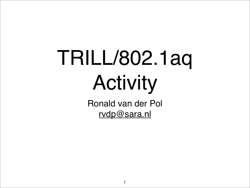# TRILL/802.1aq Activity

Ronald van der Pol [rvdp@sara.nl](mailto:rvdp@sara.nl)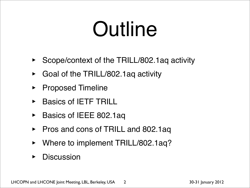#### Outline

- ‣ Scope/context of the TRILL/802.1aq activity
- ‣ Goal of the TRILL/802.1aq activity
- ‣ Proposed Timeline
- ‣ Basics of IETF TRILL
- ▶ Basics of IEEE 802.1aq
- ‣ Pros and cons of TRILL and 802.1aq
- Where to implement TRILL/802.1aq?
- **Discussion**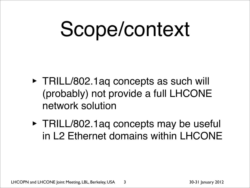# Scope/context

- ‣ TRILL/802.1aq concepts as such will (probably) not provide a full LHCONE network solution
- ‣ TRILL/802.1aq concepts may be useful in L2 Ethernet domains within LHCONE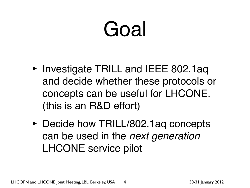## Goal

- ‣ Investigate TRILL and IEEE 802.1aq and decide whether these protocols or concepts can be useful for LHCONE. (this is an R&D effort)
- ‣ Decide how TRILL/802.1aq concepts can be used in the *next generation* LHCONE service pilot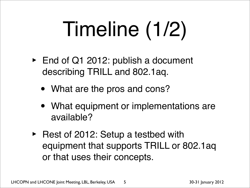# Timeline (1/2)

- ‣ End of Q1 2012: publish a document describing TRILL and 802.1aq.
	- What are the pros and cons?
	- What equipment or implementations are available?
- ‣ Rest of 2012: Setup a testbed with equipment that supports TRILL or 802.1aq or that uses their concepts.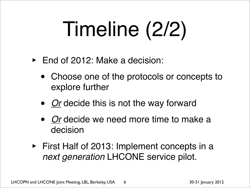# Timeline (2/2)

- ‣ End of 2012: Make a decision:
	- Choose one of the protocols or concepts to explore further
	- *Or* decide this is not the way forward
	- *Or* decide we need more time to make a decision
- ‣ First Half of 2013: Implement concepts in a *next generation* LHCONE service pilot.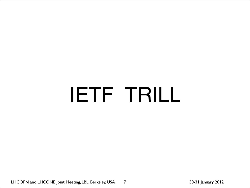#### IETF TRILL

LHCOPN and LHCONE Joint Meeting, LBL, Berkeley, USA 30-31 January 2012 7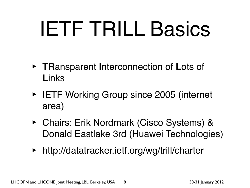## IETF TRILL Basics

- ‣ **TR**ansparent **I**nterconnection of **L**ots of **L**inks
- ‣ IETF Working Group since 2005 (internet area)
- ‣ Chairs: Erik Nordmark (Cisco Systems) & Donald Eastlake 3rd (Huawei Technologies)
- ‣ http://datatracker.ietf.org/wg/trill/charter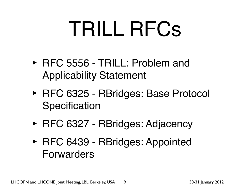## TRILL RFCs

- ‣ RFC 5556 TRILL: Problem and Applicability Statement
- ‣ RFC 6325 RBridges: Base Protocol **Specification**
- ‣ RFC 6327 RBridges: Adjacency
- ‣ RFC 6439 RBridges: Appointed Forwarders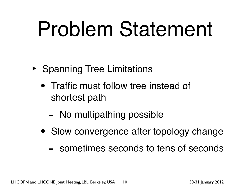## Problem Statement

- ‣ Spanning Tree Limitations
	- Traffic must follow tree instead of shortest path
		- No multipathing possible
	- Slow convergence after topology change
		- sometimes seconds to tens of seconds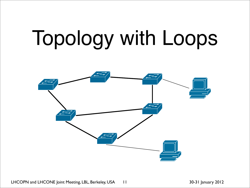# Topology with Loops



LHCOPN and LHCONE Joint Meeting, LBL, Berkeley, USA 11 30-31 January 2012 11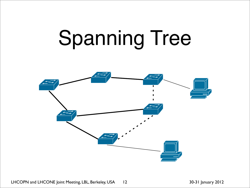## Spanning Tree



LHCOPN and LHCONE Joint Meeting, LBL, Berkeley, USA 12 30-31 January 2012 12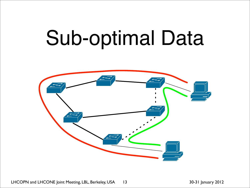#### Sub-optimal Data



LHCOPN and LHCONE Joint Meeting, LBL, Berkeley, USA 13 30-31 January 2012 13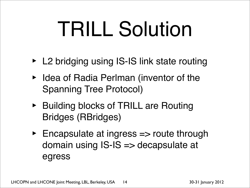## TRILL Solution

- ‣ L2 bridging using IS-IS link state routing
- ‣ Idea of Radia Perlman (inventor of the Spanning Tree Protocol)
- ‣ Building blocks of TRILL are Routing Bridges (RBridges)
- ‣ Encapsulate at ingress => route through domain using IS-IS => decapsulate at egress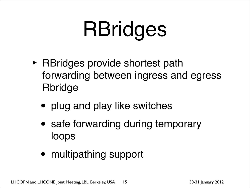# RBridges

- ‣ RBridges provide shortest path forwarding between ingress and egress Rbridge
	- plug and play like switches
	- safe forwarding during temporary loops
	- multipathing support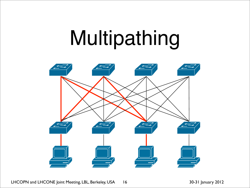### Multipathing



LHCOPN and LHCONE Joint Meeting, LBL, Berkeley, USA 16 30-31 January 2012 16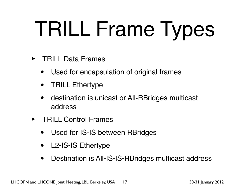# TRILL Frame Types

- ‣ TRILL Data Frames
	- Used for encapsulation of original frames
	- TRILL Ethertype
	- destination is unicast or All-RBridges multicast address
- ‣ TRILL Control Frames
	- Used for IS-IS between RBridges
	- L2-IS-IS Ethertype
	- Destination is All-IS-IS-RBridges multicast address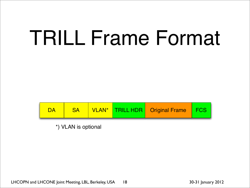#### TRILL Frame Format



\*) VLAN is optional

LHCOPN and LHCONE Joint Meeting, LBL, Berkeley, USA 18<br>30-31 January 2012 18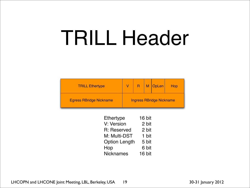#### TRILL Header

| <b>TRILL Ethertype</b>         |                                 |  | M | $\big \bigcirc$ pLen | Hop |
|--------------------------------|---------------------------------|--|---|----------------------|-----|
| <b>Egress RBridge Nickname</b> | <b>Ingress RBridge Nickname</b> |  |   |                      |     |

| <b>Ethertype</b>     | 16 bit |
|----------------------|--------|
| V: Version           | 2 bit  |
| R: Reserved          | 2 bit  |
| M: Multi-DST         | 1 bit  |
| <b>Option Length</b> | 5 bit  |
| Hop                  | 6 bit  |
| <b>Nicknames</b>     | 16 bit |
|                      |        |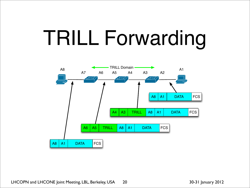## TRILL Forwarding



LHCOPN and LHCONE Joint Meeting, LBL, Berkeley, USA 20 30-31 January 2012 20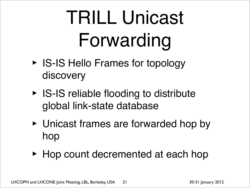## TRILL Unicast Forwarding

- ‣ IS-IS Hello Frames for topology discovery
- ‣ IS-IS reliable flooding to distribute global link-state database
- ‣ Unicast frames are forwarded hop by hop
- ‣ Hop count decremented at each hop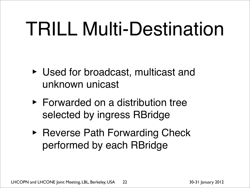#### TRILL Multi-Destination

- ‣ Used for broadcast, multicast and unknown unicast
- ‣ Forwarded on a distribution tree selected by ingress RBridge
- ‣ Reverse Path Forwarding Check performed by each RBridge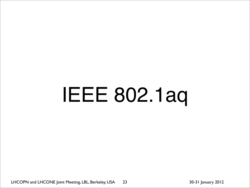# IEEE 802.1aq

LHCOPN and LHCONE Joint Meeting, LBL, Berkeley, USA 23 30-31 January 2012 23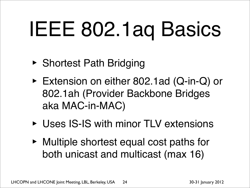# IEEE 802.1aq Basics

- ‣ Shortest Path Bridging
- ‣ Extension on either 802.1ad (Q-in-Q) or 802.1ah (Provider Backbone Bridges aka MAC-in-MAC)
- ‣ Uses IS-IS with minor TLV extensions
- ‣ Multiple shortest equal cost paths for both unicast and multicast (max 16)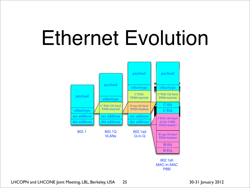#### Ethernet Evolution



LHCOPN and LHCONE Joint Meeting, LBL, Berkeley, USA 25 30-31 January 2012 25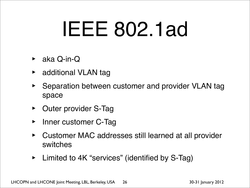## IEEE 802.1ad

- ‣ aka Q-in-Q
- ‣ additional VLAN tag
- ‣ Separation between customer and provider VLAN tag space
- ‣ Outer provider S-Tag
- Inner customer C-Tag
- ‣ Customer MAC addresses still learned at all provider switches
- Limited to 4K "services" (identified by S-Tag)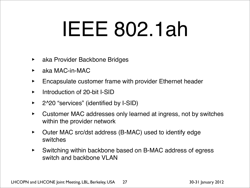#### IEEE 802.1ah

- ‣ aka Provider Backbone Bridges
- aka MAC-in-MAC
- ‣ Encapsulate customer frame with provider Ethernet header
- Introduction of 20-bit I-SID
- ‣ 2^20 "services" (identified by I-SID)
- ‣ Customer MAC addresses only learned at ingress, not by switches within the provider network
- Outer MAC src/dst address (B-MAC) used to identify edge switches
- ‣ Switching within backbone based on B-MAC address of egress switch and backbone VLAN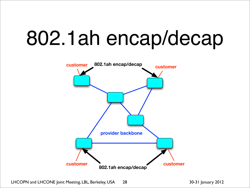#### 802.1ah encap/decap



LHCOPN and LHCONE Joint Meeting, LBL, Berkeley, USA 28 30-31 January 2012 28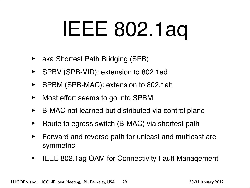## IEEE 802.1aq

- ‣ aka Shortest Path Bridging (SPB)
- ‣ SPBV (SPB-VID): extension to 802.1ad
- ‣ SPBM (SPB-MAC): extension to 802.1ah
- ‣ Most effort seems to go into SPBM
- ‣ B-MAC not learned but distributed via control plane
- Route to egress switch (B-MAC) via shortest path
- ‣ Forward and reverse path for unicast and multicast are symmetric
- ‣ IEEE 802.1ag OAM for Connectivity Fault Management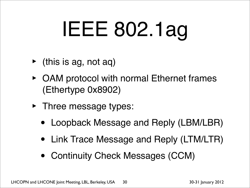# IEEE 802.1ag

- $\blacktriangleright$  (this is ag, not aq)
- ‣ OAM protocol with normal Ethernet frames (Ethertype 0x8902)
- Three message types:
	- Loopback Message and Reply (LBM/LBR)
	- Link Trace Message and Reply (LTM/LTR)
	- Continuity Check Messages (CCM)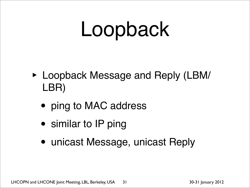## Loopback

- ‣ Loopback Message and Reply (LBM/ LBR)
	- ping to MAC address
	- similar to IP ping
	- unicast Message, unicast Reply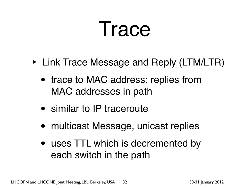#### Trace

- ‣ Link Trace Message and Reply (LTM/LTR)
	- trace to MAC address; replies from MAC addresses in path
	- similar to IP traceroute
	- multicast Message, unicast replies
	- uses TTL which is decremented by each switch in the path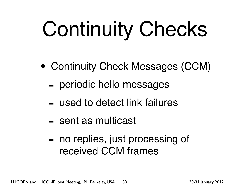# Continuity Checks

- Continuity Check Messages (CCM)
	- periodic hello messages
	- used to detect link failures
	- sent as multicast
	- no replies, just processing of received CCM frames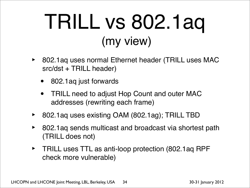#### TRILL vs 802.1aq (my view)

- 802.1aq uses normal Ethernet header (TRILL uses MAC src/dst + TRILL header)
	- 802.1aq just forwards
	- TRILL need to adjust Hop Count and outer MAC addresses (rewriting each frame)
- 802.1aq uses existing OAM (802.1ag); TRILL TBD
- ‣ 802.1aq sends multicast and broadcast via shortest path (TRILL does not)
- ‣ TRILL uses TTL as anti-loop protection (802.1aq RPF check more vulnerable)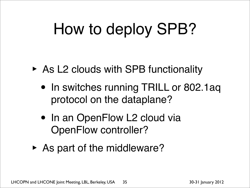#### How to deploy SPB?

- ‣ As L2 clouds with SPB functionality
	- In switches running TRILL or 802.1aq protocol on the dataplane?
	- In an OpenFlow L2 cloud via OpenFlow controller?
- ‣ As part of the middleware?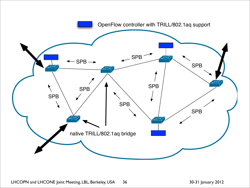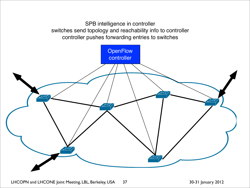SPB intelligence in controller switches send topology and reachability info to controller controller pushes forwarding entries to switches



LHCOPN and LHCONE Joint Meeting, LBL, Berkeley, USA 37 30-31 January 2012 37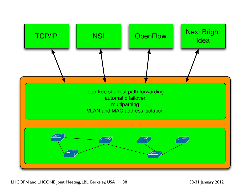

LHCOPN and LHCONE Joint Meeting, LBL, Berkeley, USA 38 30-31 January 2012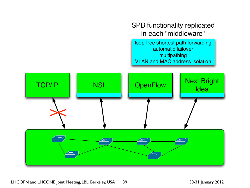TCP/IP | NSI | OpenFlow | Next Bright **Idea** loop-free shortest path forwarding automatic failover multipathing VLAN and MAC address isolation  $\bigtimes$ 

SPB functionality replicated

in each "middleware"

LHCOPN and LHCONE Joint Meeting, LBL, Berkeley, USA 39 30-31 January 2012 39